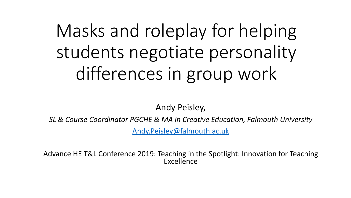# Masks an[d roleplay for](mailto:Andy.Peisley@falmouth.ac.uk) students negotiate pe differences in grou

Andy Peisley,

**SL & Course Coordinator PGCHE & MA in Creative Edu** 

Andy.Peisley@falmouth.ac.u

Advance HE T&L Conference 2019: Teaching in the Spot Excellence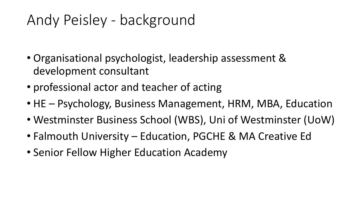# Andy Peisley - background

- Organisational psychologist, leadership assessment & development consultant
- professional actor and teacher of acting
- HE Psychology, Business Management, HRM, MBA, Education
- Westminster Business School (WBS), Uni of Westminster (UoW)
- Falmouth University Education, PGCHE & MA Creative Ed
- Senior Fellow Higher Education Academy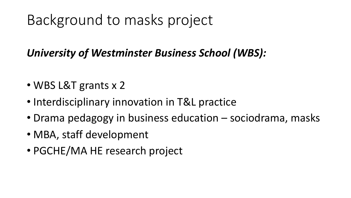# Background to masks project

#### *University of Westminster Business School (WBS):*

- WBS L&T grants x 2
- Interdisciplinary innovation in T&L practice
- Drama pedagogy in business education sociodrama, masks
- MBA, staff development
- PGCHE/MA HE research project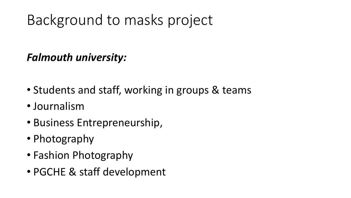# Background to masks project

#### *Falmouth university:*

- Students and staff, working in groups & teams
- Journalism
- Business Entrepreneurship,
- Photography
- Fashion Photography
- PGCHE & staff development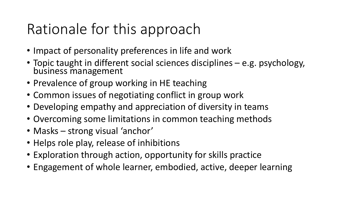# Rationale for this approach

- Impact of personality preferences in life and work
- Topic taught in different social sciences disciplines e.g. psychology, business management
- Prevalence of group working in HE teaching
- Common issues of negotiating conflict in group work
- Developing empathy and appreciation of diversity in teams
- Overcoming some limitations in common teaching methods
- Masks strong visual 'anchor'
- Helps role play, release of inhibitions
- Exploration through action, opportunity for skills practice
- Engagement of whole learner, embodied, active, deeper learning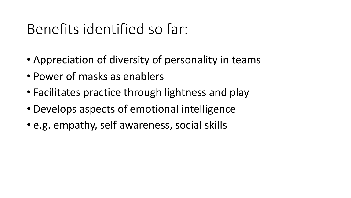### Benefits identified so far:

- Appreciation of diversity of personality in teams
- Power of masks as enablers
- Facilitates practice through lightness and play
- Develops aspects of emotional intelligence
- e.g. empathy, self awareness, social skills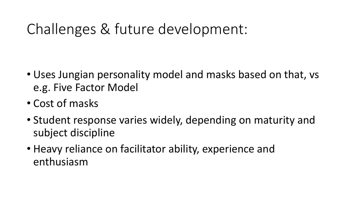# Challenges & future development:

- Uses Jungian personality model and masks based on that, vs e.g. Five Factor Model
- Cost of masks
- Student response varies widely, depending on maturity and subject discipline
- Heavy reliance on facilitator ability, experience and enthusiasm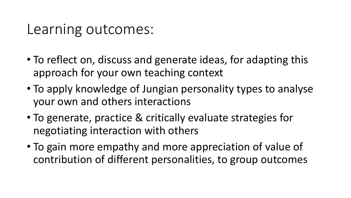#### Learning outcomes:

- To reflect on, discuss and generate ideas, for adapting this approach for your own teaching context
- To apply knowledge of Jungian personality types to analyse your own and others interactions
- To generate, practice & critically evaluate strategies for negotiating interaction with others
- To gain more empathy and more appreciation of value of contribution of different personalities, to group outcomes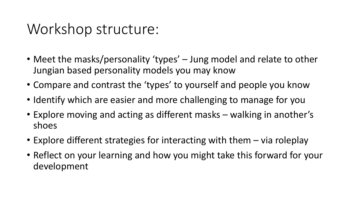#### Workshop structure:

- Meet the masks/personality 'types' Jung model and relate to other Jungian based personality models you may know
- Compare and contrast the 'types' to yourself and people you know
- Identify which are easier and more challenging to manage for you
- Explore moving and acting as different masks walking in another's shoes
- Explore different strategies for interacting with them via roleplay
- Reflect on your learning and how you might take this forward for your development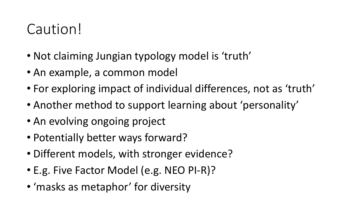# Caution!

- Not claiming Jungian typology model is 'truth'
- An example, a common model
- For exploring impact of individual differences, not as 'truth'
- Another method to support learning about 'personality'
- An evolving ongoing project
- Potentially better ways forward?
- Different models, with stronger evidence?
- E.g. Five Factor Model (e.g. NEO PI-R)?
- 'masks as metaphor' for diversity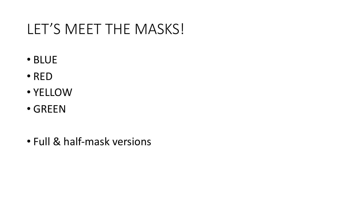# LET'S MEET THE MASKS!

- BLUE
- RED
- YELLOW
- GREEN
- Full & half-mask versions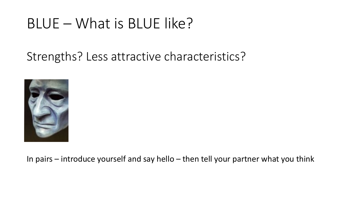### BLUE – What is BLUE like?

Strengths? Less attractive characteristics?



In pairs – introduce yourself and say hello – then tell your partner what you think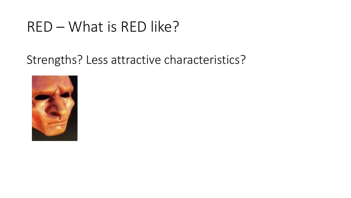### RED – What is RED like?

#### Strengths? Less attractive characteristics?

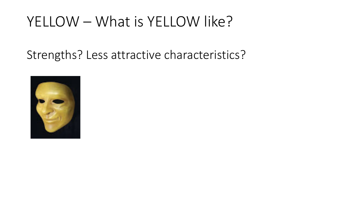### YELLOW – What is YELLOW like?

Strengths? Less attractive characteristics?

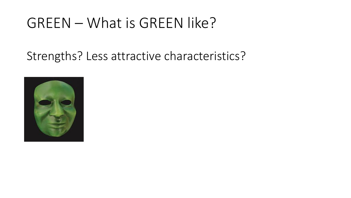#### GREEN – What is GREEN like?

#### Strengths? Less attractive characteristics?

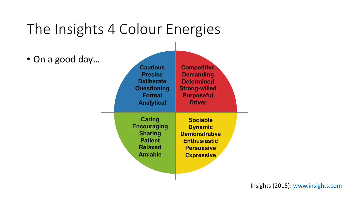### The Insights 4 Colour Energies

• On a good day…

| <b>Cautious</b>    | <b>Competitive</b>   |
|--------------------|----------------------|
| <b>Precise</b>     | <b>Demanding</b>     |
| <b>Deliberate</b>  | <b>Determined</b>    |
| Questioning        | <b>Strong-willed</b> |
| <b>Formal</b>      | <b>Purposeful</b>    |
| <b>Analytical</b>  | <b>Driver</b>        |
| <b>Caring</b>      | <b>Sociable</b>      |
| <b>Encouraging</b> | <b>Dynamic</b>       |
| <b>Sharing</b>     | <b>Demonstrative</b> |
| <b>Patient</b>     | <b>Enthusiastic</b>  |
| <b>Relaxed</b>     | <b>Persuasive</b>    |
| <b>Amiable</b>     | <b>Expressive</b>    |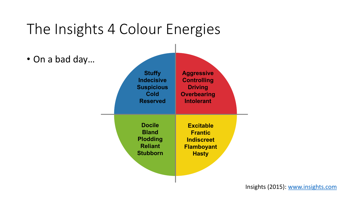#### The Insights 4 Colour Energies

• On a bad day…

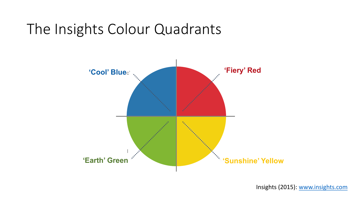# The Insights Colour Quadrants

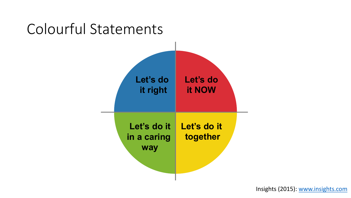#### Colourful Statements

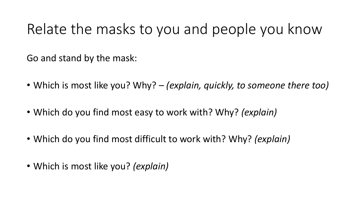#### Relate the masks to you and people you know

Go and stand by the mask:

- Which is most like you? Why? *(explain, quickly, to someone there too)*
- Which do you find most easy to work with? Why? *(explain)*
- Which do you find most difficult to work with? Why? *(explain)*
- Which is most like you? *(explain)*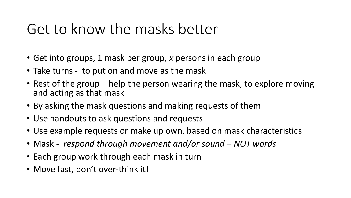### Get to know the masks better

- Get into groups, 1 mask per group, *x* persons in each group
- Take turns to put on and move as the mask
- Rest of the group help the person wearing the mask, to explore moving and acting as that mask
- By asking the mask questions and making requests of them
- Use handouts to ask questions and requests
- Use example requests or make up own, based on mask characteristics
- Mask *respond through movement and/or sound – NOT words*
- Each group work through each mask in turn
- Move fast, don't over-think it!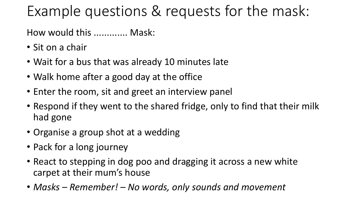# Example questions & requests for the mask:

How would this ............. Mask:

- Sit on a chair
- Wait for a bus that was already 10 minutes late
- Walk home after a good day at the office
- Enter the room, sit and greet an interview panel
- Respond if they went to the shared fridge, only to find that their milk had gone
- Organise a group shot at a wedding
- Pack for a long journey
- React to stepping in dog poo and dragging it across a new white carpet at their mum's house
- *Masks – Remember! – No words, only sounds and movement*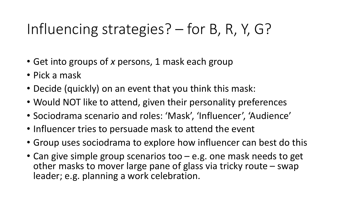# Influencing strategies? – for B, R, Y, G?

- Get into groups of *x* persons, 1 mask each group
- Pick a mask
- Decide (quickly) on an event that you think this mask:
- Would NOT like to attend, given their personality preferences
- Sociodrama scenario and roles: 'Mask', 'Influencer', 'Audience'
- Influencer tries to persuade mask to attend the event
- Group uses sociodrama to explore how influencer can best do this
- Can give simple group scenarios too e.g. one mask needs to get other masks to mover large pane of glass via tricky route – swap leader; e.g. planning a work celebration.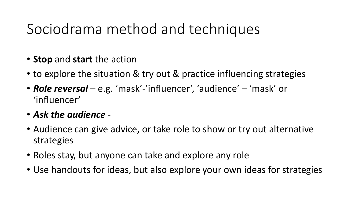# Sociodrama method and techniques

- **Stop** and **start** the action
- to explore the situation & try out & practice influencing strategies
- *Role reversal*  e.g. 'mask'-'influencer', 'audience' 'mask' or 'influencer'
- *Ask the audience* -
- Audience can give advice, or take role to show or try out alternative strategies
- Roles stay, but anyone can take and explore any role
- Use handouts for ideas, but also explore your own ideas for strategies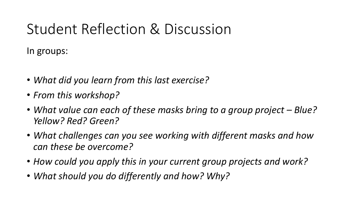# Student Reflection & Discussion

In groups:

- *What did you learn from this last exercise?*
- *From this workshop?*
- *What value can each of these masks bring to a group project – Blue? Yellow? Red? Green?*
- *What challenges can you see working with different masks and how can these be overcome?*
- *How could you apply this in your current group projects and work?*
- *What should you do differently and how? Why?*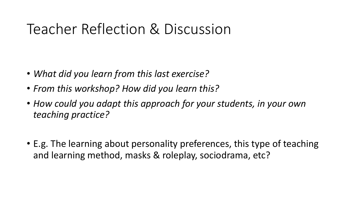### Teacher Reflection & Discussion

- *What did you learn from this last exercise?*
- *From this workshop? How did you learn this?*
- *How could you adapt this approach for your students, in your own teaching practice?*
- E.g. The learning about personality preferences, this type of teaching and learning method, masks & roleplay, sociodrama, etc?